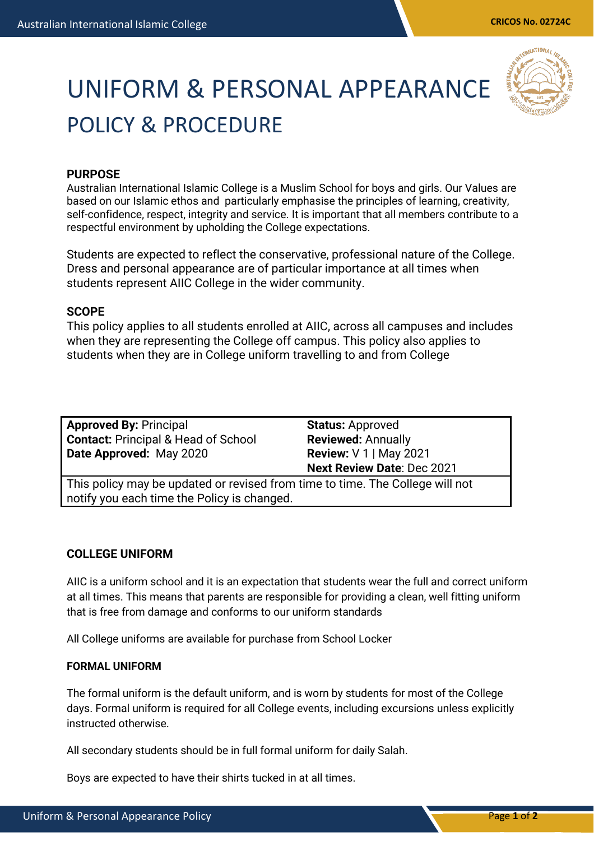# UNIFORM & PERSONAL APPEARANCE POLICY & PROCEDURE



## **PURPOSE**

Australian International Islamic College is a Muslim School for boys and girls. Our Values are based on our Islamic ethos and particularly emphasise the principles of learning, creativity, self-confidence, respect, integrity and service. It is important that all members contribute to a respectful environment by upholding the College expectations.

Students are expected to reflect the conservative, professional nature of the College. Dress and personal appearance are of particular importance at all times when students represent AIIC College in the wider community.

### **SCOPE**

This policy applies to all students enrolled at AIIC, across all campuses and includes when they are representing the College off campus. This policy also applies to students when they are in College uniform travelling to and from College

**Approved By:** Principal **Contact:** Principal & Head of School **Date Approved:** May 2020

**Status:** Approved **Reviewed:** Annually **Review:** V 1 | May 2021 **Next Review Date**: Dec 2021

This policy may be updated or revised from time to time. The College will not notify you each time the Policy is changed.

### **COLLEGE UNIFORM**

AIIC is a uniform school and it is an expectation that students wear the full and correct uniform at all times. This means that parents are responsible for providing a clean, well fitting uniform that is free from damage and conforms to our uniform standards

All College uniforms are available for purchase from School Locker

#### **FORMAL UNIFORM**

The formal uniform is the default uniform, and is worn by students for most of the College days. Formal uniform is required for all College events, including excursions unless explicitly instructed otherwise.

All secondary students should be in full formal uniform for daily Salah.

Boys are expected to have their shirts tucked in at all times.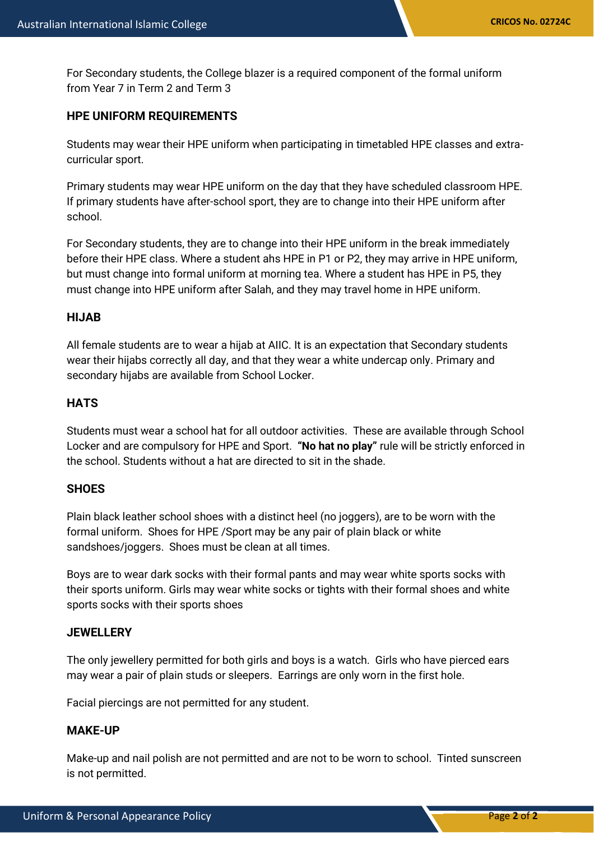For Secondary students, the College blazer is a required component of the formal uniform from Year 7 in Term 2 and Term 3

## **HPE UNIFORM REQUIREMENTS**

Students may wear their HPE uniform when participating in timetabled HPE classes and extracurricular sport.

Primary students may wear HPE uniform on the day that they have scheduled classroom HPE. If primary students have after-school sport, they are to change into their HPE uniform after school.

For Secondary students, they are to change into their HPE uniform in the break immediately before their HPE class. Where a student ahs HPE in P1 or P2, they may arrive in HPE uniform, but must change into formal uniform at morning tea. Where a student has HPE in P5, they must change into HPE uniform after Salah, and they may travel home in HPE uniform.

#### **HIJAB**

All female students are to wear a hijab at AIIC. It is an expectation that Secondary students wear their hijabs correctly all day, and that they wear a white undercap only. Primary and secondary hijabs are available from School Locker.

### **HATS**

Students must wear a school hat for all outdoor activities. These are available through School Locker and are compulsory for HPE and Sport. **"No hat no play"** rule will be strictly enforced in the school. Students without a hat are directed to sit in the shade.

### **SHOES**

Plain black leather school shoes with a distinct heel (no joggers), are to be worn with the formal uniform. Shoes for HPE /Sport may be any pair of plain black or white sandshoes/joggers. Shoes must be clean at all times.

Boys are to wear dark socks with their formal pants and may wear white sports socks with their sports uniform. Girls may wear white socks or tights with their formal shoes and white sports socks with their sports shoes

### **JEWELLERY**

The only jewellery permitted for both girls and boys is a watch. Girls who have pierced ears may wear a pair of plain studs or sleepers. Earrings are only worn in the first hole.

Facial piercings are not permitted for any student.

### **MAKE-UP**

Make-up and nail polish are not permitted and are not to be worn to school. Tinted sunscreen is not permitted.